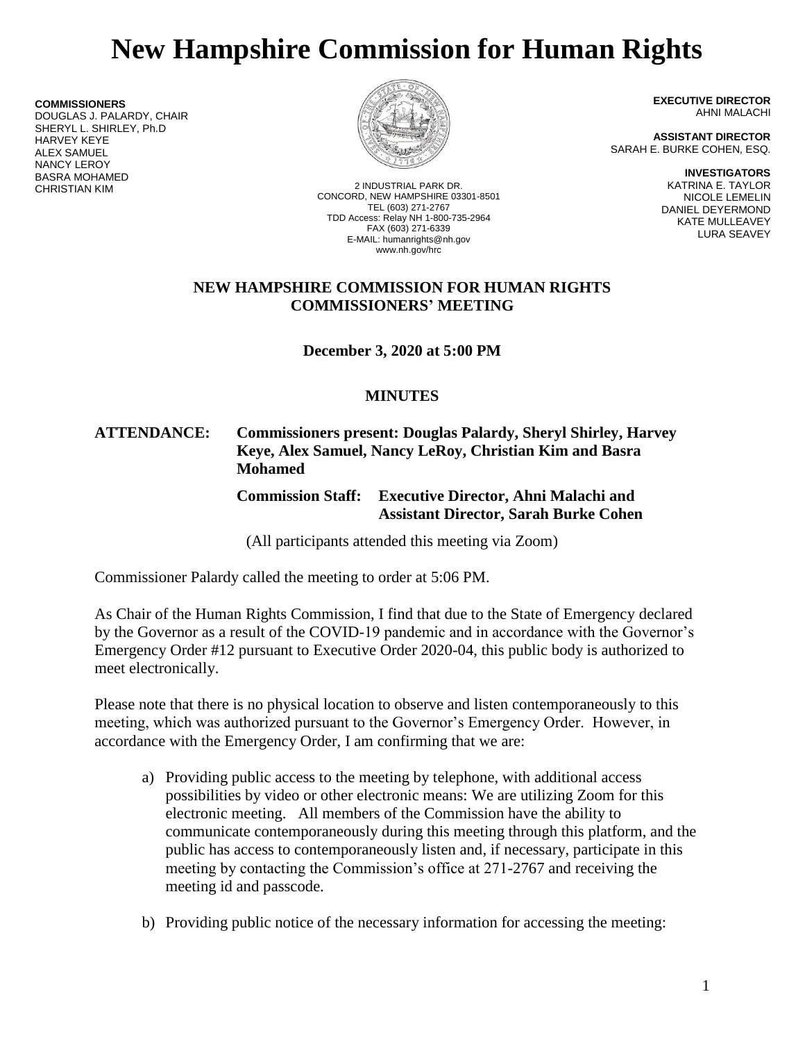# **New Hampshire Commission for Human Rights**

**COMMISSIONERS** DOUGLAS J. PALARDY, CHAIR SHERYL L. SHIRLEY, Ph.D HARVEY KEYE ALEX SAMUEL NANCY LEROY BASRA MOHAMED



2 INDUSTRIAL PARK DR. CONCORD, NEW HAMPSHIRE 03301-8501 TEL (603) 271-2767 TDD Access: Relay NH 1-800-735-2964 FAX (603) 271-6339 E-MAIL: humanrights@nh.gov www.nh.gov/hrc

**EXECUTIVE DIRECTOR** AHNI MALACHI

**ASSISTANT DIRECTOR** SARAH E. BURKE COHEN, ESQ.

> **INVESTIGATORS** KATRINA E. TAYLOR NICOLE LEMELIN DANIEL DEYERMOND KATE MULLEAVEY LURA SEAVEY

#### **NEW HAMPSHIRE COMMISSION FOR HUMAN RIGHTS COMMISSIONERS' MEETING**

**December 3, 2020 at 5:00 PM**

# **MINUTES**

## **ATTENDANCE: Commissioners present: Douglas Palardy, Sheryl Shirley, Harvey Keye, Alex Samuel, Nancy LeRoy, Christian Kim and Basra Mohamed**

**Commission Staff: Executive Director, Ahni Malachi and Assistant Director, Sarah Burke Cohen**

(All participants attended this meeting via Zoom)

Commissioner Palardy called the meeting to order at 5:06 PM.

As Chair of the Human Rights Commission, I find that due to the State of Emergency declared by the Governor as a result of the COVID-19 pandemic and in accordance with the Governor's Emergency Order #12 pursuant to Executive Order 2020-04, this public body is authorized to meet electronically.

Please note that there is no physical location to observe and listen contemporaneously to this meeting, which was authorized pursuant to the Governor's Emergency Order. However, in accordance with the Emergency Order, I am confirming that we are:

- a) Providing public access to the meeting by telephone, with additional access possibilities by video or other electronic means: We are utilizing Zoom for this electronic meeting. All members of the Commission have the ability to communicate contemporaneously during this meeting through this platform, and the public has access to contemporaneously listen and, if necessary, participate in this meeting by contacting the Commission's office at 271-2767 and receiving the meeting id and passcode.
- b) Providing public notice of the necessary information for accessing the meeting: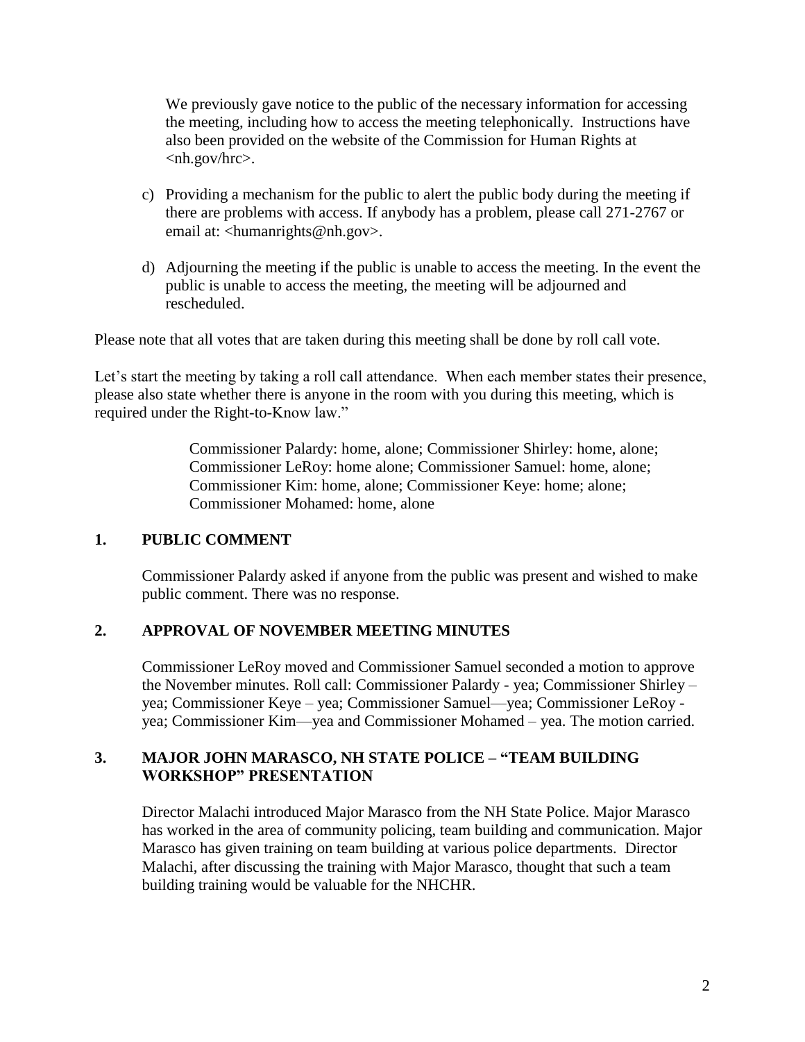We previously gave notice to the public of the necessary information for accessing the meeting, including how to access the meeting telephonically. Instructions have also been provided on the website of the Commission for Human Rights at <nh.gov/hrc>.

- c) Providing a mechanism for the public to alert the public body during the meeting if there are problems with access. If anybody has a problem, please call 271-2767 or email at: <humanrights@nh.gov>.
- d) Adjourning the meeting if the public is unable to access the meeting. In the event the public is unable to access the meeting, the meeting will be adjourned and rescheduled.

Please note that all votes that are taken during this meeting shall be done by roll call vote.

Let's start the meeting by taking a roll call attendance. When each member states their presence, please also state whether there is anyone in the room with you during this meeting, which is required under the Right-to-Know law."

> Commissioner Palardy: home, alone; Commissioner Shirley: home, alone; Commissioner LeRoy: home alone; Commissioner Samuel: home, alone; Commissioner Kim: home, alone; Commissioner Keye: home; alone; Commissioner Mohamed: home, alone

#### **1. PUBLIC COMMENT**

Commissioner Palardy asked if anyone from the public was present and wished to make public comment. There was no response.

#### **2. APPROVAL OF NOVEMBER MEETING MINUTES**

Commissioner LeRoy moved and Commissioner Samuel seconded a motion to approve the November minutes. Roll call: Commissioner Palardy - yea; Commissioner Shirley – yea; Commissioner Keye – yea; Commissioner Samuel—yea; Commissioner LeRoy yea; Commissioner Kim—yea and Commissioner Mohamed – yea. The motion carried.

#### **3. MAJOR JOHN MARASCO, NH STATE POLICE – "TEAM BUILDING WORKSHOP" PRESENTATION**

Director Malachi introduced Major Marasco from the NH State Police. Major Marasco has worked in the area of community policing, team building and communication. Major Marasco has given training on team building at various police departments. Director Malachi, after discussing the training with Major Marasco, thought that such a team building training would be valuable for the NHCHR.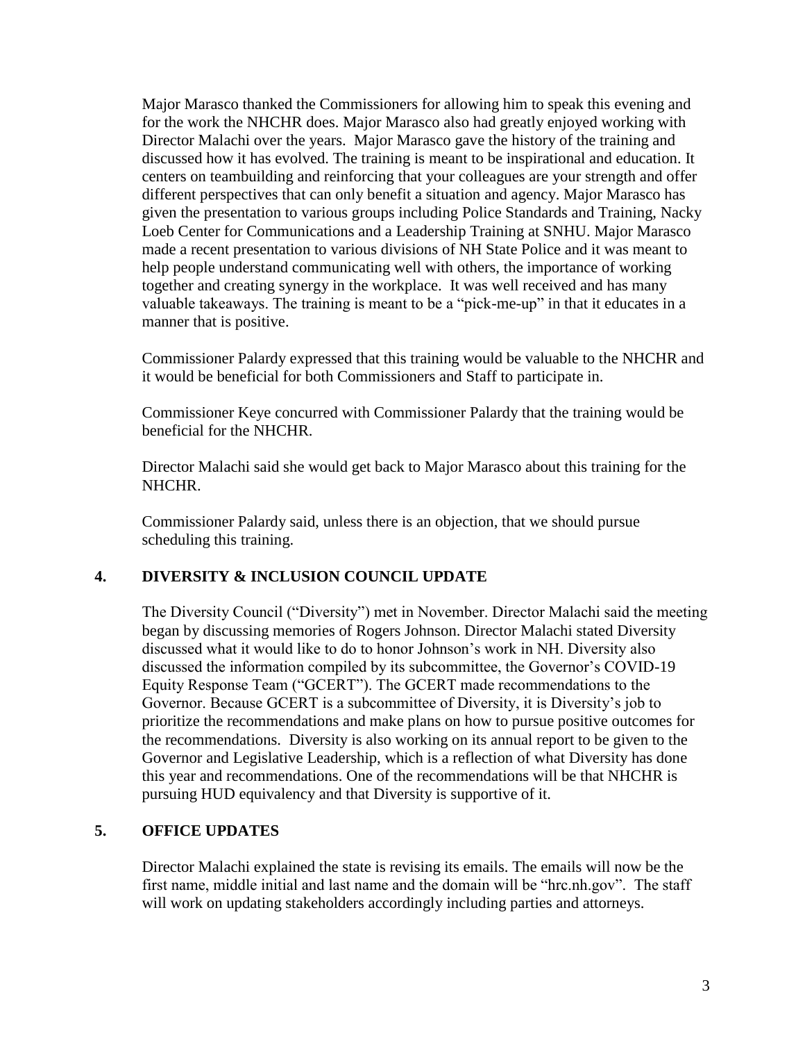Major Marasco thanked the Commissioners for allowing him to speak this evening and for the work the NHCHR does. Major Marasco also had greatly enjoyed working with Director Malachi over the years. Major Marasco gave the history of the training and discussed how it has evolved. The training is meant to be inspirational and education. It centers on teambuilding and reinforcing that your colleagues are your strength and offer different perspectives that can only benefit a situation and agency. Major Marasco has given the presentation to various groups including Police Standards and Training, Nacky Loeb Center for Communications and a Leadership Training at SNHU. Major Marasco made a recent presentation to various divisions of NH State Police and it was meant to help people understand communicating well with others, the importance of working together and creating synergy in the workplace. It was well received and has many valuable takeaways. The training is meant to be a "pick-me-up" in that it educates in a manner that is positive.

Commissioner Palardy expressed that this training would be valuable to the NHCHR and it would be beneficial for both Commissioners and Staff to participate in.

Commissioner Keye concurred with Commissioner Palardy that the training would be beneficial for the NHCHR.

Director Malachi said she would get back to Major Marasco about this training for the NHCHR.

Commissioner Palardy said, unless there is an objection, that we should pursue scheduling this training.

## **4. DIVERSITY & INCLUSION COUNCIL UPDATE**

The Diversity Council ("Diversity") met in November. Director Malachi said the meeting began by discussing memories of Rogers Johnson. Director Malachi stated Diversity discussed what it would like to do to honor Johnson's work in NH. Diversity also discussed the information compiled by its subcommittee, the Governor's COVID-19 Equity Response Team ("GCERT"). The GCERT made recommendations to the Governor. Because GCERT is a subcommittee of Diversity, it is Diversity's job to prioritize the recommendations and make plans on how to pursue positive outcomes for the recommendations. Diversity is also working on its annual report to be given to the Governor and Legislative Leadership, which is a reflection of what Diversity has done this year and recommendations. One of the recommendations will be that NHCHR is pursuing HUD equivalency and that Diversity is supportive of it.

#### **5. OFFICE UPDATES**

Director Malachi explained the state is revising its emails. The emails will now be the first name, middle initial and last name and the domain will be "hrc.nh.gov". The staff will work on updating stakeholders accordingly including parties and attorneys.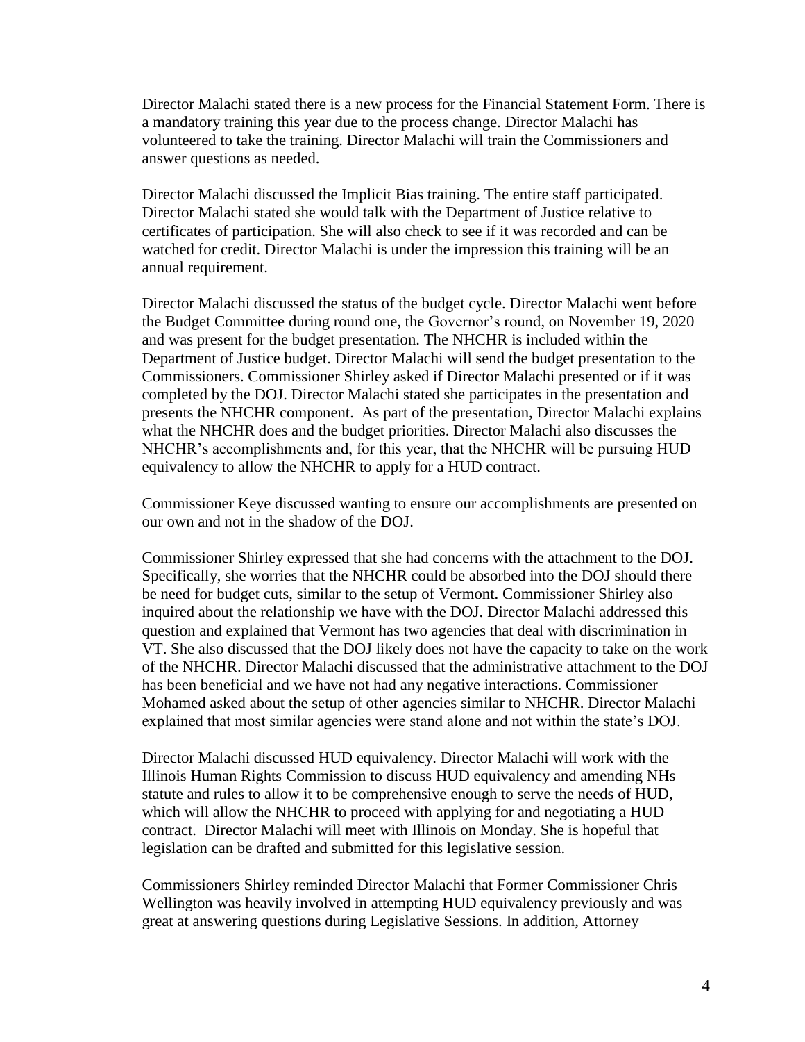Director Malachi stated there is a new process for the Financial Statement Form. There is a mandatory training this year due to the process change. Director Malachi has volunteered to take the training. Director Malachi will train the Commissioners and answer questions as needed.

Director Malachi discussed the Implicit Bias training. The entire staff participated. Director Malachi stated she would talk with the Department of Justice relative to certificates of participation. She will also check to see if it was recorded and can be watched for credit. Director Malachi is under the impression this training will be an annual requirement.

Director Malachi discussed the status of the budget cycle. Director Malachi went before the Budget Committee during round one, the Governor's round, on November 19, 2020 and was present for the budget presentation. The NHCHR is included within the Department of Justice budget. Director Malachi will send the budget presentation to the Commissioners. Commissioner Shirley asked if Director Malachi presented or if it was completed by the DOJ. Director Malachi stated she participates in the presentation and presents the NHCHR component. As part of the presentation, Director Malachi explains what the NHCHR does and the budget priorities. Director Malachi also discusses the NHCHR's accomplishments and, for this year, that the NHCHR will be pursuing HUD equivalency to allow the NHCHR to apply for a HUD contract.

Commissioner Keye discussed wanting to ensure our accomplishments are presented on our own and not in the shadow of the DOJ.

Commissioner Shirley expressed that she had concerns with the attachment to the DOJ. Specifically, she worries that the NHCHR could be absorbed into the DOJ should there be need for budget cuts, similar to the setup of Vermont. Commissioner Shirley also inquired about the relationship we have with the DOJ. Director Malachi addressed this question and explained that Vermont has two agencies that deal with discrimination in VT. She also discussed that the DOJ likely does not have the capacity to take on the work of the NHCHR. Director Malachi discussed that the administrative attachment to the DOJ has been beneficial and we have not had any negative interactions. Commissioner Mohamed asked about the setup of other agencies similar to NHCHR. Director Malachi explained that most similar agencies were stand alone and not within the state's DOJ.

Director Malachi discussed HUD equivalency. Director Malachi will work with the Illinois Human Rights Commission to discuss HUD equivalency and amending NHs statute and rules to allow it to be comprehensive enough to serve the needs of HUD, which will allow the NHCHR to proceed with applying for and negotiating a HUD contract. Director Malachi will meet with Illinois on Monday. She is hopeful that legislation can be drafted and submitted for this legislative session.

Commissioners Shirley reminded Director Malachi that Former Commissioner Chris Wellington was heavily involved in attempting HUD equivalency previously and was great at answering questions during Legislative Sessions. In addition, Attorney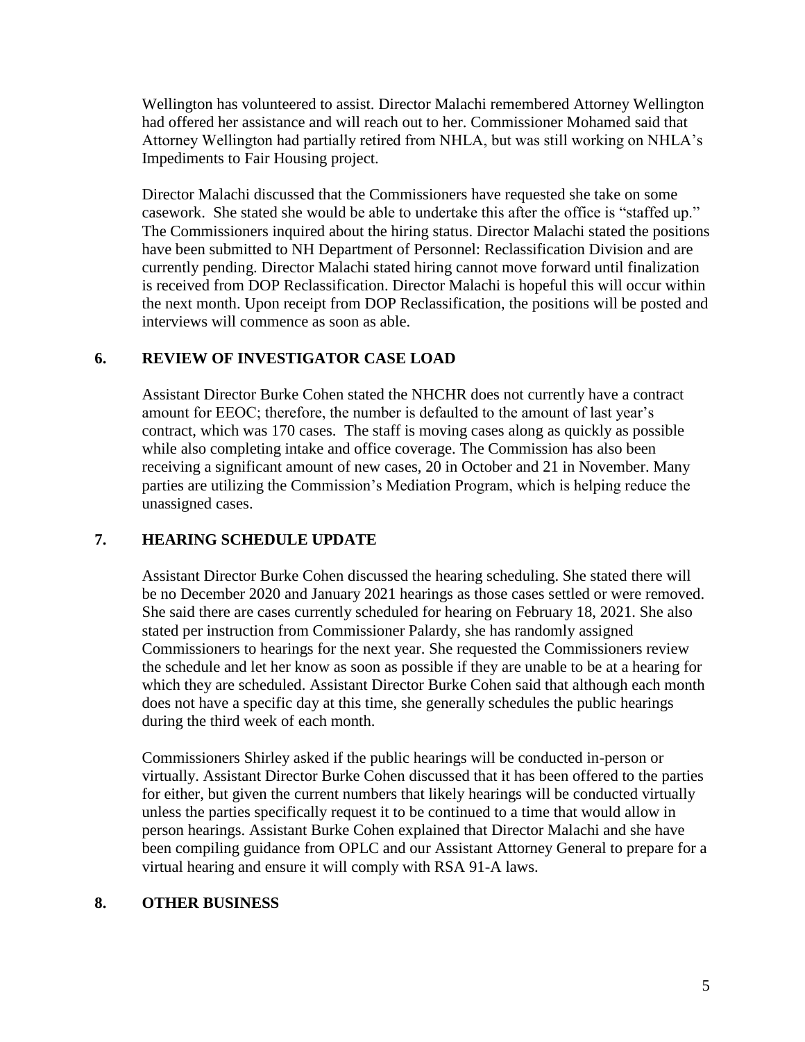Wellington has volunteered to assist. Director Malachi remembered Attorney Wellington had offered her assistance and will reach out to her. Commissioner Mohamed said that Attorney Wellington had partially retired from NHLA, but was still working on NHLA's Impediments to Fair Housing project.

Director Malachi discussed that the Commissioners have requested she take on some casework. She stated she would be able to undertake this after the office is "staffed up." The Commissioners inquired about the hiring status. Director Malachi stated the positions have been submitted to NH Department of Personnel: Reclassification Division and are currently pending. Director Malachi stated hiring cannot move forward until finalization is received from DOP Reclassification. Director Malachi is hopeful this will occur within the next month. Upon receipt from DOP Reclassification, the positions will be posted and interviews will commence as soon as able.

## **6. REVIEW OF INVESTIGATOR CASE LOAD**

Assistant Director Burke Cohen stated the NHCHR does not currently have a contract amount for EEOC; therefore, the number is defaulted to the amount of last year's contract, which was 170 cases. The staff is moving cases along as quickly as possible while also completing intake and office coverage. The Commission has also been receiving a significant amount of new cases, 20 in October and 21 in November. Many parties are utilizing the Commission's Mediation Program, which is helping reduce the unassigned cases.

# **7. HEARING SCHEDULE UPDATE**

Assistant Director Burke Cohen discussed the hearing scheduling. She stated there will be no December 2020 and January 2021 hearings as those cases settled or were removed. She said there are cases currently scheduled for hearing on February 18, 2021. She also stated per instruction from Commissioner Palardy, she has randomly assigned Commissioners to hearings for the next year. She requested the Commissioners review the schedule and let her know as soon as possible if they are unable to be at a hearing for which they are scheduled. Assistant Director Burke Cohen said that although each month does not have a specific day at this time, she generally schedules the public hearings during the third week of each month.

Commissioners Shirley asked if the public hearings will be conducted in-person or virtually. Assistant Director Burke Cohen discussed that it has been offered to the parties for either, but given the current numbers that likely hearings will be conducted virtually unless the parties specifically request it to be continued to a time that would allow in person hearings. Assistant Burke Cohen explained that Director Malachi and she have been compiling guidance from OPLC and our Assistant Attorney General to prepare for a virtual hearing and ensure it will comply with RSA 91-A laws.

## **8. OTHER BUSINESS**